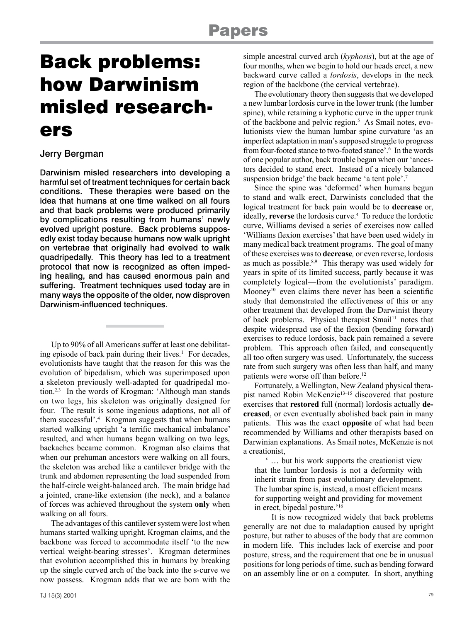# Back problems: how Darwinism misled researchers

## Jerry Bergman

Darwinism misled researchers into developing a harmful set of treatment techniques for certain back conditions. These therapies were based on the idea that humans at one time walked on all fours and that back problems were produced primarily by complications resulting from humans' newly evolved upright posture. Back problems supposedly exist today because humans now walk upright on vertebrae that originally had evolved to walk quadripedally. This theory has led to a treatment protocol that now is recognized as often impeding healing, and has caused enormous pain and suffering. Treatment techniques used today are in many ways the opposite of the older, now disproven Darwinism-influenced techniques.

Up to 90% of all Americans suffer at least one debilitating episode of back pain during their lives.<sup>1</sup> For decades, evolutionists have taught that the reason for this was the evolution of bipedalism, which was superimposed upon a skeleton previously well-adapted for quadripedal motion.2,3 In the words of Krogman: 'Although man stands on two legs, his skeleton was originally designed for four. The result is some ingenious adaptions, not all of them successful'.4 Krogman suggests that when humans started walking upright 'a terrific mechanical imbalance' resulted, and when humans began walking on two legs, backaches became common. Krogman also claims that when our prehuman ancestors were walking on all fours, the skeleton was arched like a cantilever bridge with the trunk and abdomen representing the load suspended from the half-circle weight-balanced arch. The main bridge had a jointed, crane-like extension (the neck), and a balance of forces was achieved throughout the system **only** when walking on all fours.

The advantages of this cantilever system were lost when humans started walking upright, Krogman claims, and the backbone was forced to accommodate itself 'to the new vertical weight-bearing stresses'. Krogman determines that evolution accomplished this in humans by breaking up the single curved arch of the back into the s-curve we now possess. Krogman adds that we are born with the simple ancestral curved arch (*kyphosis*), but at the age of four months, when we begin to hold our heads erect, a new backward curve called a *lordosis*, develops in the neck region of the backbone (the cervical vertebrae).

The evolutionary theory then suggests that we developed a new lumbar lordosis curve in the lower trunk (the lumber spine), while retaining a kyphotic curve in the upper trunk of the backbone and pelvic region.<sup>5</sup> As Smail notes, evolutionists view the human lumbar spine curvature 'as an imperfect adaptation in man's supposed struggle to progress from four-footed stance to two-footed stance'.<sup>6</sup> In the words of one popular author, back trouble began when our 'ancestors decided to stand erect. Instead of a nicely balanced suspension bridge' the back became 'a tent pole'.<sup>7</sup>

Since the spine was 'deformed' when humans begun to stand and walk erect, Darwinists concluded that the logical treatment for back pain would be to **decrease** or, ideally, **reverse** the lordosis curve.<sup>4</sup> To reduce the lordotic curve, Williams devised a series of exercises now called 'Williams flexion exercises' that have been used widely in many medical back treatment programs. The goal of many of these exercises was to **decrease***,* or even reverse, lordosis as much as possible.8,9 This therapy was used widely for years in spite of its limited success, partly because it was completely logical—from the evolutionists' paradigm. Mooney<sup>10</sup> even claims there never has been a scientific study that demonstrated the effectiveness of this or any other treatment that developed from the Darwinist theory of back problems. Physical therapist Smail<sup>11</sup> notes that despite widespread use of the flexion (bending forward) exercises to reduce lordosis, back pain remained a severe problem. This approach often failed, and consequently all too often surgery was used. Unfortunately, the success rate from such surgery was often less than half, and many patients were worse off than before.12

Fortunately, a Wellington, New Zealand physical therapist named Robin McKenzie<sup>13-15</sup> discovered that posture exercises that **restored** full (normal) lordosis actually **decreased**, or even eventually abolished back pain in many patients. This was the exact **opposite** of what had been recommended by Williams and other therapists based on Darwinian explanations. As Smail notes, McKenzie is not a creationist,

' … but his work supports the creationist view that the lumbar lordosis is not a deformity with inherit strain from past evolutionary development. The lumbar spine is, instead, a most efficient means for supporting weight and providing for movement in erect, bipedal posture.'16

It is now recognized widely that back problems generally are not due to maladaption caused by upright posture, but rather to abuses of the body that are common in modern life. This includes lack of exercise and poor posture, stress, and the requirement that one be in unusual positions for long periods of time, such as bending forward on an assembly line or on a computer. In short, anything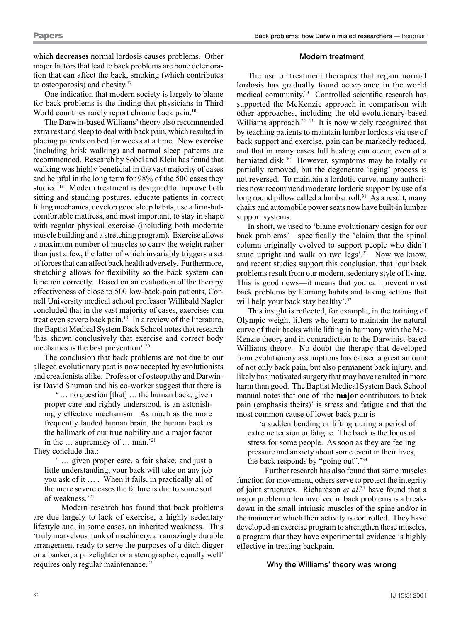which **decreases** normal lordosis causes problems. Other major factors that lead to back problems are bone deterioration that can affect the back, smoking (which contributes to osteoporosis) and obesity.17

One indication that modern society is largely to blame for back problems is the finding that physicians in Third World countries rarely report chronic back pain.<sup>10</sup>

The Darwin-based Williams' theory also recommended extra rest and sleep to deal with back pain, which resulted in placing patients on bed for weeks at a time. Now **exercise** (including brisk walking) and normal sleep patterns are recommended. Research by Sobel and Klein has found that walking was highly beneficial in the vast majority of cases and helpful in the long term for 98% of the 500 cases they studied.18 Modern treatment is designed to improve both sitting and standing postures, educate patients in correct lifting mechanics, develop good sleep habits, use a firm-butcomfortable mattress, and most important, to stay in shape with regular physical exercise (including both moderate muscle building and a stretching program). Exercise allows a maximum number of muscles to carry the weight rather than just a few, the latter of which invariably triggers a set of forces that can affect back health adversely. Furthermore, stretching allows for flexibility so the back system can function correctly. Based on an evaluation of the therapy effectiveness of close to 500 low-back-pain patients, Cornell University medical school professor Willibald Nagler concluded that in the vast majority of cases, exercises can treat even severe back pain.19 In a review of the literature, the Baptist Medical System Back School notes that research 'has shown conclusively that exercise and correct body mechanics is the best prevention'.20

The conclusion that back problems are not due to our alleged evolutionary past is now accepted by evolutionists and creationists alike. Professor of osteopathy and Darwinist David Shuman and his co-worker suggest that there is

' … no question [that] … the human back, given proper care and rightly understood, is an astonishingly effective mechanism. As much as the more frequently lauded human brain, the human back is the hallmark of our true nobility and a major factor in the … supremacy of … man.'21

They conclude that:

' … given proper care, a fair shake, and just a little understanding, your back will take on any job you ask of it … . When it fails, in practically all of the more severe cases the failure is due to some sort of weakness.'21

Modern research has found that back problems are due largely to lack of exercise, a highly sedentary lifestyle and, in some cases, an inherited weakness. This 'truly marvelous hunk of machinery, an amazingly durable arrangement ready to serve the purposes of a ditch digger or a banker, a prizefighter or a stenographer, equally well' requires only regular maintenance.<sup>22</sup>

## Modern treatment

The use of treatment therapies that regain normal lordosis has gradually found acceptance in the world medical community.23 Controlled scientific research has supported the McKenzie approach in comparison with other approaches, including the old evolutionary-based Williams approach.<sup>24–29</sup> It is now widely recognized that by teaching patients to maintain lumbar lordosis via use of back support and exercise, pain can be markedly reduced, and that in many cases full healing can occur, even of a herniated disk.<sup>30</sup> However, symptoms may be totally or partially removed, but the degenerate 'aging' process is not reversed. To maintain a lordotic curve, many authorities now recommend moderate lordotic support by use of a long round pillow called a lumbar roll.<sup>31</sup> As a result, many chairs and automobile power seats now have built-in lumbar support systems.

In short, we used to 'blame evolutionary design for our back problems'—specifically the 'claim that the spinal column originally evolved to support people who didn't stand upright and walk on two legs'.<sup>32</sup> Now we know, and recent studies support this conclusion, that 'our back problems result from our modern, sedentary style of living. This is good news—it means that you can prevent most back problems by learning habits and taking actions that will help your back stay healthy'.<sup>32</sup>

This insight is reflected, for example, in the training of Olympic weight lifters who learn to maintain the natural curve of their backs while lifting in harmony with the Mc-Kenzie theory and in contradiction to the Darwinist-based Williams theory. No doubt the therapy that developed from evolutionary assumptions has caused a great amount of not only back pain, but also permanent back injury, and likely has motivated surgery that may have resulted in more harm than good. The Baptist Medical System Back School manual notes that one of 'the **major** contributors to back pain (emphasis theirs)' is stress and fatigue and that the most common cause of lower back pain is

'a sudden bending or lifting during a period of extreme tension or fatigue. The back is the focus of stress for some people. As soon as they are feeling pressure and anxiety about some event in their lives, the back responds by "going out".'33

Further research has also found that some muscles function for movement, others serve to protect the integrity of joint structures. Richardson *et al*. 34 have found that a major problem often involved in back problems is a breakdown in the small intrinsic muscles of the spine and/or in the manner in which their activity is controlled. They have developed an exercise program to strengthen these muscles, a program that they have experimental evidence is highly effective in treating backpain.

## Why the Williams' theory was wrong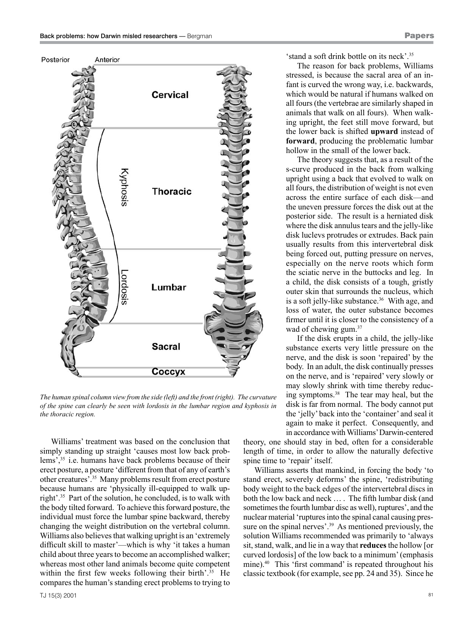

*The human spinal column view from the side (left) and the front (right). The curvature of the spine can clearly be seen with lordosis in the lumbar region and kyphosis in the thoracic region.*

Williams' treatment was based on the conclusion that simply standing up straight 'causes most low back problems',35 i.e. humans have back problems because of their erect posture, a posture 'different from that of any of earth's other creatures'.35 Many problems result from erect posture because humans are 'physically ill-equipped to walk upright'.35 Part of the solution, he concluded, is to walk with the body tilted forward. To achieve this forward posture, the individual must force the lumbar spine backward, thereby changing the weight distribution on the vertebral column. Williams also believes that walking upright is an 'extremely difficult skill to master'—which is why 'it takes a human child about three years to become an accomplished walker; whereas most other land animals become quite competent within the first few weeks following their birth'.<sup>35</sup> He compares the human's standing erect problems to trying to 'stand a soft drink bottle on its neck'.35

The reason for back problems, Williams stressed, is because the sacral area of an infant is curved the wrong way, i.e. backwards, which would be natural if humans walked on all fours (the vertebrae are similarly shaped in animals that walk on all fours). When walking upright, the feet still move forward, but the lower back is shifted **upward** instead of **forward**, producing the problematic lumbar hollow in the small of the lower back.

The theory suggests that, as a result of the s-curve produced in the back from walking upright using a back that evolved to walk on all fours, the distribution of weight is not even across the entire surface of each disk—and the uneven pressure forces the disk out at the posterior side. The result is a herniated disk where the disk annulus tears and the jelly-like disk luclevs protrudes or extrudes. Back pain usually results from this intervertebral disk being forced out, putting pressure on nerves, especially on the nerve roots which form the sciatic nerve in the buttocks and leg. In a child, the disk consists of a tough, gristly outer skin that surrounds the nucleus, which is a soft jelly-like substance.<sup>36</sup> With age, and loss of water, the outer substance becomes firmer until it is closer to the consistency of a wad of chewing gum.<sup>37</sup>

If the disk erupts in a child, the jelly-like substance exerts very little pressure on the nerve, and the disk is soon 'repaired' by the body. In an adult, the disk continually presses on the nerve, and is 'repaired' very slowly or may slowly shrink with time thereby reducing symptoms.38 The tear may heal, but the disk is far from normal. The body cannot put the 'jelly' back into the 'container' and seal it again to make it perfect. Consequently, and in accordance with Williams' Darwin-centered

theory, one should stay in bed, often for a considerable length of time, in order to allow the naturally defective spine time to 'repair' itself.

Williams asserts that mankind, in forcing the body 'to stand erect, severely deforms' the spine, 'redistributing body weight to the back edges of the intervertebral discs in both the low back and neck … . The fifth lumbar disk (and sometimes the fourth lumbar disc as well), ruptures', and the nuclear material 'ruptures into the spinal canal causing pressure on the spinal nerves'.<sup>39</sup> As mentioned previously, the solution Williams recommended was primarily to 'always sit, stand, walk, and lie in a way that **reduces** the hollow [or curved lordosis] of the low back to a minimum' (emphasis mine).40 This 'first command' is repeated throughout his classic textbook (for example, see pp. 24 and 35). Since he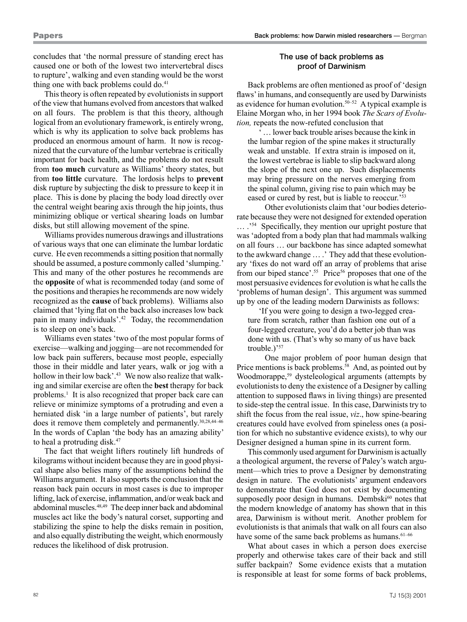concludes that 'the normal pressure of standing erect has caused one or both of the lowest two intervertebral discs to rupture', walking and even standing would be the worst thing one with back problems could do.<sup>41</sup>

This theory is often repeated by evolutionists in support of the view that humans evolved from ancestors that walked on all fours. The problem is that this theory, although logical from an evolutionary framework, is entirely wrong, which is why its application to solve back problems has produced an enormous amount of harm. It now is recognized that the curvature of the lumbar vertebrae is critically important for back health, and the problems do not result from **too much** curvature as Williams' theory states, but from **too little** curvature. The lordosis helps to **prevent** disk rupture by subjecting the disk to pressure to keep it in place. This is done by placing the body load directly over the central weight bearing axis through the hip joints, thus minimizing oblique or vertical shearing loads on lumbar disks, but still allowing movement of the spine.

Williams provides numerous drawings and illustrations of various ways that one can eliminate the lumbar lordatic curve. He even recommends a sitting position that normally should be assumed, a posture commonly called 'slumping.' This and many of the other postures he recommends are the **opposite** of what is recommended today (and some of the positions and therapies he recommends are now widely recognized as the **cause** of back problems). Williams also claimed that 'lying flat on the back also increases low back pain in many individuals'.42 Today, the recommendation is to sleep on one's back.

Williams even states 'two of the most popular forms of exercise—walking and jogging—are not recommended for low back pain sufferers, because most people, especially those in their middle and later years, walk or jog with a hollow in their low back'.<sup>43</sup> We now also realize that walking and similar exercise are often the **best** therapy for back problems.<sup>1</sup> It is also recognized that proper back care can relieve or minimize symptoms of a protruding and even a herniated disk 'in a large number of patients', but rarely does it remove them completely and permanently.<sup>30,28,44-46</sup> In the words of Caplan 'the body has an amazing ability' to heal a protruding disk.47

The fact that weight lifters routinely lift hundreds of kilograms without incident because they are in good physical shape also belies many of the assumptions behind the Williams argument. It also supports the conclusion that the reason back pain occurs in most cases is due to improper lifting, lack of exercise, inflammation, and/or weak back and abdominal muscles.48,49 The deep inner back and abdominal muscles act like the body's natural corset, supporting and stabilizing the spine to help the disks remain in position, and also equally distributing the weight, which enormously reduces the likelihood of disk protrusion.

## The use of back problems as proof of Darwinism

Back problems are often mentioned as proof of 'design flaws' in humans, and consequently are used by Darwinists as evidence for human evolution.<sup>50–52</sup> A typical example is Elaine Morgan who, in her 1994 book *The Scars of Evolution,* repeats the now-refuted conclusion that

... lower back trouble arises because the kink in the lumbar region of the spine makes it structurally weak and unstable. If extra strain is imposed on it, the lowest vertebrae is liable to slip backward along the slope of the next one up. Such displacements may bring pressure on the nerves emerging from the spinal column, giving rise to pain which may be eased or cured by rest, but is liable to reoccur.'53

Other evolutionists claim that 'our bodies deteriorate because they were not designed for extended operation … .'54 Specifically, they mention our upright posture that was 'adopted from a body plan that had mammals walking on all fours … our backbone has since adapted somewhat to the awkward change … .' They add that these evolutionary 'fixes do not ward off an array of problems that arise from our biped stance'.<sup>55</sup> Price<sup>56</sup> proposes that one of the most persuasive evidences for evolution is what he calls the 'problems of human design'. This argument was summed up by one of the leading modern Darwinists as follows:

'If you were going to design a two-legged creature from scratch, rather than fashion one out of a four-legged creature, you'd do a better job than was done with us. (That's why so many of us have back trouble.)'<sup>57</sup>

One major problem of poor human design that Price mentions is back problems.<sup>58</sup> And, as pointed out by Woodmorappe,<sup>59</sup> dysteleological arguments (attempts by evolutionists to deny the existence of a Designer by calling attention to supposed flaws in living things) are presented to side-step the central issue. In this case, Darwinists try to shift the focus from the real issue, *viz*., how spine-bearing creatures could have evolved from spineless ones (a position for which no substantive evidence exists), to why our Designer designed a human spine in its current form.

This commonly used argument for Darwinism is actually a theological argument, the reverse of Paley's watch argument—which tries to prove a Designer by demonstrating design in nature. The evolutionists' argument endeavors to demonstrate that God does not exist by documenting supposedly poor design in humans. Dembski<sup>60</sup> notes that the modern knowledge of anatomy has shown that in this area, Darwinism is without merit. Another problem for evolutionists is that animals that walk on all fours can also have some of the same back problems as humans.<sup>61–66</sup>

What about cases in which a person does exercise properly and otherwise takes care of their back and still suffer backpain? Some evidence exists that a mutation is responsible at least for some forms of back problems,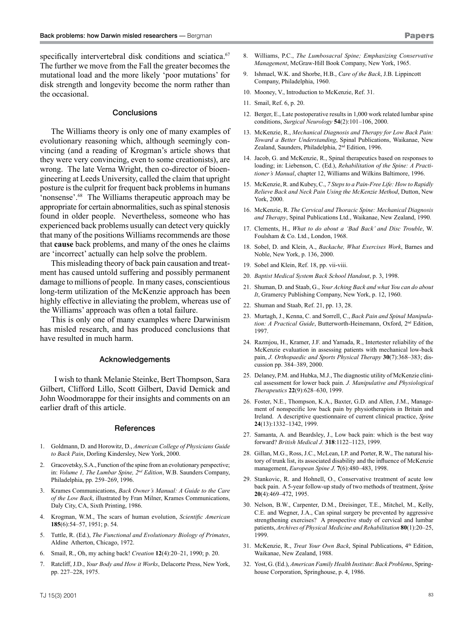specifically intervertebral disk conditions and sciatica.<sup>67</sup> The further we move from the Fall the greater becomes the mutational load and the more likely 'poor mutations' for disk strength and longevity become the norm rather than the occasional.

### **Conclusions**

The Williams theory is only one of many examples of evolutionary reasoning which, although seemingly convincing (and a reading of Krogman's article shows that they were very convincing, even to some creationists), are wrong. The late Verna Wright, then co-director of bioengineering at Leeds University, called the claim that upright posture is the culprit for frequent back problems in humans 'nonsense'.68 The Williams therapeutic approach may be appropriate for certain abnormalities, such as spinal stenosis found in older people. Nevertheless, someone who has experienced back problems usually can detect very quickly that many of the positions Williams recommends are those that **cause** back problems, and many of the ones he claims are 'incorrect' actually can help solve the problem.

This misleading theory of back pain causation and treatment has caused untold suffering and possibly permanent damage to millions of people. In many cases, conscientious long-term utilization of the McKenzie approach has been highly effective in alleviating the problem, whereas use of the Williams' approach was often a total failure.

This is only one of many examples where Darwinism has misled research, and has produced conclusions that have resulted in much harm.

### Acknowledgements

 I wish to thank Melanie Steinke, Bert Thompson, Sara Gilbert, Clifford Lillo, Scott Gilbert, David Demick and John Woodmorappe for their insights and comments on an earlier draft of this article.

#### References

- 1. Goldmann, D. and Horowitz, D., *American College of Physicians Guide to Back Pain*, Dorling Kindersley, New York, 2000.
- 2. Gracovetsky, S.A., Function of the spine from an evolutionary perspective; in: *Volume 1, The Lumbar Spine, 2nd Edition*, W.B. Saunders Company, Philadelphia, pp. 259–269, 1996.
- 3. Krames Communications, *Back Owner's Manual: A Guide to the Care of the Low Back*, illustrated by Fran Milner, Krames Communications, Daly City, CA, Sixth Printing, 1986.
- 4. Krogman, W.M., The scars of human evolution, *Scientific American*  **185**(6):54–57, 1951; p. 54.
- 5. Tuttle, R. (Ed.), *The Functional and Evolutionary Biology of Primates*, Aldine Atherton, Chicago, 1972.
- 6. Smail, R., Oh, my aching back! *Creation* **12**(4):20–21, 1990; p. 20.
- 7. Ratcliff, J.D., *Your Body and How it Works*, Delacorte Press, New York, pp. 227–228, 1975.
- 8. Williams, P.C., *The Lumbosacral Spine; Emphasizing Conservative Management*, McGraw-Hill Book Company, New York, 1965.
- 9. Ishmael, W.K. and Shorbe, H.B., *Care of the Back*, J.B. Lippincott Company, Philadelphia, 1960.
- 10. Mooney, V., Introduction to McKenzie, Ref. 31.
- 11. Smail, Ref. 6, p. 20.
- 12. Berger, E., Late postoperative results in 1,000 work related lumbar spine conditions, *Surgical Neurology* **54**(2):101–106, 2000.
- 13. McKenzie, R., *Mechanical Diagnosis and Therapy for Low Back Pain: Toward a Better Understanding*, Spinal Publications, Waikanae, New Zealand, Saunders, Philadelphia, 2nd Edition, 1996.
- 14. Jacob, G. and McKenzie, R., Spinal therapeutics based on responses to loading; in: Liebenson, C. (Ed.), *Rehabilitation of the Spine: A Practitioner's Manual*, chapter 12, Williams and Wilkins Baltimore, 1996.
- 15. McKenzie, R. and Kubey, C., *7 Steps to a Pain-Free Life: How to Rapidly Relieve Back and Neck Pain Using the McKenzie Method*, Dutton, New York, 2000.
- 16. McKenzie, R. *The Cervical and Thoracic Spine: Mechanical Diagnosis and Therapy*, Spinal Publications Ltd., Waikanae, New Zealand, 1990.
- 17. Clements, H., *What to do about a 'Bad Back' and Disc Trouble*, W. Foulsham & Co. Ltd., London, 1968.
- 18. Sobel, D. and Klein, A., *Backache, What Exercises Work*, Barnes and Noble, New York, p. 136, 2000.
- 19. Sobel and Klein, Ref. 18, pp. vii-viii.
- 20. *Baptist Medical System Back School Handout*, p. 3, 1998.
- 21. Shuman, D. and Staab, G., *Your Aching Back and what You can do about It*, Gramercy Publishing Company, New York, p. 12, 1960.
- 22. Shuman and Staab, Ref. 21, pp. 13, 28.
- 23. Murtagh, J., Kenna, C. and Sorrell, C., *Back Pain and Spinal Manipulation: A Practical Guide*, Butterworth-Heinemann, Oxford, 2nd Edition, 1997.
- 24. Razmjou, H., Kramer, J.F. and Yamada, R., Intertester reliability of the McKenzie evaluation in assessing patients with mechanical low-back pain, *J. Orthopaedic and Sports Physical Therapy* **30**(7):368–383; discussion pp. 384–389, 2000.
- 25. Delaney, P.M. and Hubka, M.J., The diagnostic utility of McKenzie clinical assessment for lower back pain. *J. Manipulative and Physiological Therapeutics* **22**(9):628–630, 1999.
- 26. Foster, N.E., Thompson, K.A., Baxter, G.D. and Allen, J.M., Management of nonspecific low back pain by physiotherapists in Britain and Ireland. A descriptive questionnaire of current clinical practice, *Spine* **24**(13):1332–1342, 1999.
- 27. Samanta, A. and Beardsley, J., Low back pain: which is the best way forward? *British Medical J.* **318**:1122–1123, 1999.
- 28. Gillan, M.G., Ross, J.C., McLean, I.P. and Porter, R.W., The natural history of trunk list, its associated disability and the influence of McKenzie management, *European Spine J.* **7**(6):480–483, 1998.
- 29. Stankovic, R. and Hohnell, O., Conservative treatment of acute low back pain. A 5-year follow-up study of two methods of treatment, *Spine* **20**(4):469–472, 1995.
- 30. Nelson, B.W., Carpenter, D.M., Dreisinger, T.E., Mitchel, M., Kelly, C.E. and Wegner, J.A., Can spinal surgery be prevented by aggressive strengthening exercises? A prospective study of cervical and lumbar patients, *Archives of Physical Medicine and Rehabilitation* **80**(1):20–25, 1999.
- 31. McKenzie, R., *Treat Your Own Back*, Spinal Publications, 4<sup>th</sup> Edition, Waikanae, New Zealand, 1988.
- 32. Yost, G. (Ed.), *American Family Health Institute*: *Back Problems*, Springhouse Corporation, Springhouse, p. 4, 1986.